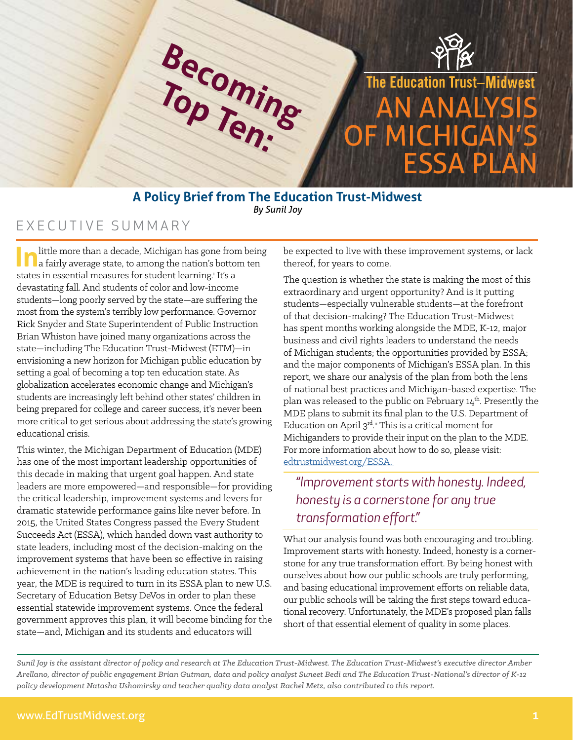

### **A Policy Brief from The Education Trust-Midwest** *By Sunil Joy*

## EXECUTIVE SUMMARY

little more than a decade, Michigan has gone from being a fairly average state, to among the nation's bottom ten states in essential measures for student learning.<sup>i</sup> It's a devastating fall. And students of color and low-income students—long poorly served by the state—are suffering the most from the system's terribly low performance. Governor Rick Snyder and State Superintendent of Public Instruction Brian Whiston have joined many organizations across the state—including The Education Trust-Midwest (ETM)—in envisioning a new horizon for Michigan public education by setting a goal of becoming a top ten education state. As globalization accelerates economic change and Michigan's students are increasingly left behind other states' children in being prepared for college and career success, it's never been more critical to get serious about addressing the state's growing educational crisis.

This winter, the Michigan Department of Education (MDE) has one of the most important leadership opportunities of this decade in making that urgent goal happen. And state leaders are more empowered—and responsible—for providing the critical leadership, improvement systems and levers for dramatic statewide performance gains like never before. In 2015, the United States Congress passed the Every Student Succeeds Act (ESSA), which handed down vast authority to state leaders, including most of the decision-making on the improvement systems that have been so effective in raising achievement in the nation's leading education states. This year, the MDE is required to turn in its ESSA plan to new U.S. Secretary of Education Betsy DeVos in order to plan these essential statewide improvement systems. Once the federal government approves this plan, it will become binding for the state—and, Michigan and its students and educators will

be expected to live with these improvement systems, or lack thereof, for years to come.

The question is whether the state is making the most of this extraordinary and urgent opportunity? And is it putting students—especially vulnerable students—at the forefront of that decision-making? The Education Trust-Midwest has spent months working alongside the MDE, K-12, major business and civil rights leaders to understand the needs of Michigan students; the opportunities provided by ESSA; and the major components of Michigan's ESSA plan. In this report, we share our analysis of the plan from both the lens of national best practices and Michigan-based expertise. The plan was released to the public on February 14<sup>th</sup>. Presently the MDE plans to submit its final plan to the U.S. Department of Education on April 3<sup>rd</sup>.<sup>ii</sup> This is a critical moment for Michiganders to provide their input on the plan to the MDE. For more information about how to do so, please visit: [edtrustmidwest.org/ESSA.](http://edtrustmidwest.org/ESSA. ) 

## *"Improvement starts with honesty. Indeed, honesty is a cornerstone for any true transformation effort."*

What our analysis found was both encouraging and troubling. Improvement starts with honesty. Indeed, honesty is a cornerstone for any true transformation effort. By being honest with ourselves about how our public schools are truly performing, and basing educational improvement efforts on reliable data, our public schools will be taking the first steps toward educational recovery. Unfortunately, the MDE's proposed plan falls short of that essential element of quality in some places.

*Sunil Joy is the assistant director of policy and research at The Education Trust-Midwest. The Education Trust-Midwest's executive director Amber Arellano, director of public engagement Brian Gutman, data and policy analyst Suneet Bedi and The Education Trust-National's director of K-12 policy development Natasha Ushomirsky and teacher quality data analyst Rachel Metz, also contributed to this report.*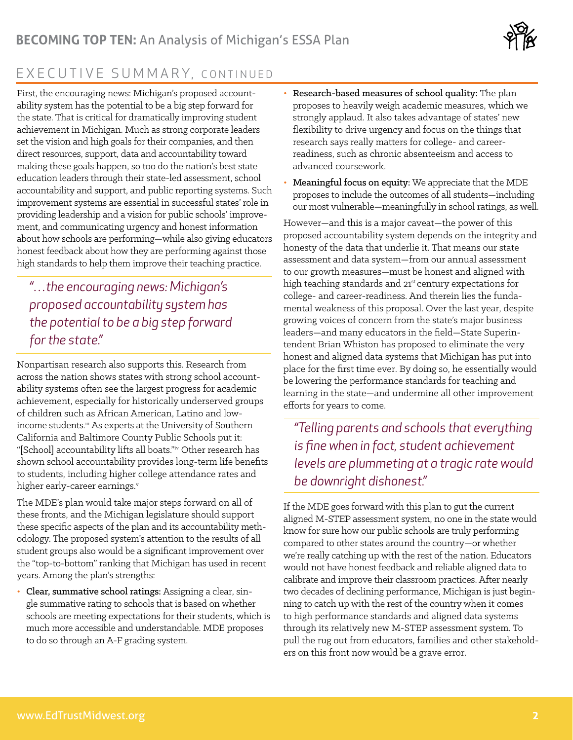

# EXECUTIVE SUMMARY, CONTINUED

First, the encouraging news: Michigan's proposed accountability system has the potential to be a big step forward for the state. That is critical for dramatically improving student achievement in Michigan. Much as strong corporate leaders set the vision and high goals for their companies, and then direct resources, support, data and accountability toward making these goals happen, so too do the nation's best state education leaders through their state-led assessment, school accountability and support, and public reporting systems. Such improvement systems are essential in successful states' role in providing leadership and a vision for public schools' improvement, and communicating urgency and honest information about how schools are performing—while also giving educators honest feedback about how they are performing against those high standards to help them improve their teaching practice.

## *"…the encouraging news: Michigan's proposed accountability system has the potential to be a big step forward for the state."*

Nonpartisan research also supports this. Research from across the nation shows states with strong school accountability systems often see the largest progress for academic achievement, especially for historically underserved groups of children such as African American, Latino and lowincome students.<sup>iii</sup> As experts at the University of Southern California and Baltimore County Public Schools put it: "[School] accountability lifts all boats."iv Other research has shown school accountability provides long-term life benefits to students, including higher college attendance rates and higher early-career earnings.<sup>v</sup>

The MDE's plan would take major steps forward on all of these fronts, and the Michigan legislature should support these specific aspects of the plan and its accountability methodology. The proposed system's attention to the results of all student groups also would be a significant improvement over the "top-to-bottom" ranking that Michigan has used in recent years. Among the plan's strengths:

• Clear, summative school ratings: Assigning a clear, single summative rating to schools that is based on whether schools are meeting expectations for their students, which is much more accessible and understandable. MDE proposes to do so through an A-F grading system.

- Research-based measures of school quality: The plan proposes to heavily weigh academic measures, which we strongly applaud. It also takes advantage of states' new flexibility to drive urgency and focus on the things that research says really matters for college- and careerreadiness, such as chronic absenteeism and access to advanced coursework.
- Meaningful focus on equity: We appreciate that the MDE proposes to include the outcomes of all students—including our most vulnerable—meaningfully in school ratings, as well.

However—and this is a major caveat—the power of this proposed accountability system depends on the integrity and honesty of the data that underlie it. That means our state assessment and data system—from our annual assessment to our growth measures—must be honest and aligned with high teaching standards and 21<sup>st</sup> century expectations for college- and career-readiness. And therein lies the fundamental weakness of this proposal. Over the last year, despite growing voices of concern from the state's major business leaders—and many educators in the field—State Superintendent Brian Whiston has proposed to eliminate the very honest and aligned data systems that Michigan has put into place for the first time ever. By doing so, he essentially would be lowering the performance standards for teaching and learning in the state—and undermine all other improvement efforts for years to come.

*"Telling parents and schools that everything is fine when in fact, student achievement levels are plummeting at a tragic rate would be downright dishonest."*

If the MDE goes forward with this plan to gut the current aligned M-STEP assessment system, no one in the state would know for sure how our public schools are truly performing compared to other states around the country—or whether we're really catching up with the rest of the nation. Educators would not have honest feedback and reliable aligned data to calibrate and improve their classroom practices. After nearly two decades of declining performance, Michigan is just beginning to catch up with the rest of the country when it comes to high performance standards and aligned data systems through its relatively new M-STEP assessment system. To pull the rug out from educators, families and other stakeholders on this front now would be a grave error.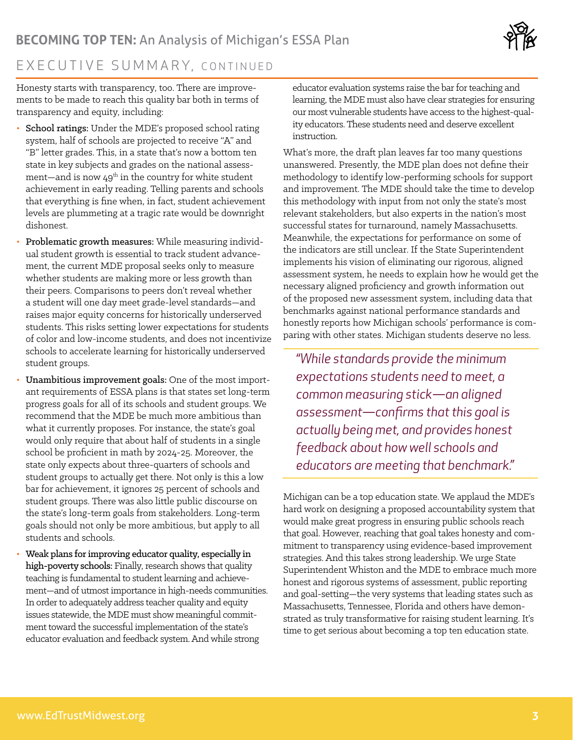

## EXECUTIVE SUMMARY, CONTINUED

Honesty starts with transparency, too. There are improvements to be made to reach this quality bar both in terms of transparency and equity, including:

- School ratings: Under the MDE's proposed school rating system, half of schools are projected to receive "A" and "B" letter grades. This, in a state that's now a bottom ten state in key subjects and grades on the national assessment—and is now  $49<sup>th</sup>$  in the country for white student achievement in early reading. Telling parents and schools that everything is fine when, in fact, student achievement levels are plummeting at a tragic rate would be downright dishonest.
- Problematic growth measures: While measuring individual student growth is essential to track student advancement, the current MDE proposal seeks only to measure whether students are making more or less growth than their peers. Comparisons to peers don't reveal whether a student will one day meet grade-level standards—and raises major equity concerns for historically underserved students. This risks setting lower expectations for students of color and low-income students, and does not incentivize schools to accelerate learning for historically underserved student groups.
- Unambitious improvement goals: One of the most important requirements of ESSA plans is that states set long-term progress goals for all of its schools and student groups. We recommend that the MDE be much more ambitious than what it currently proposes. For instance, the state's goal would only require that about half of students in a single school be proficient in math by 2024-25. Moreover, the state only expects about three-quarters of schools and student groups to actually get there. Not only is this a low bar for achievement, it ignores 25 percent of schools and student groups. There was also little public discourse on the state's long-term goals from stakeholders. Long-term goals should not only be more ambitious, but apply to all students and schools.
- Weak plans for improving educator quality, especially in high-poverty schools: Finally, research shows that quality teaching is fundamental to student learning and achievement—and of utmost importance in high-needs communities. In order to adequately address teacher quality and equity issues statewide, the MDE must show meaningful commitment toward the successful implementation of the state's educator evaluation and feedback system. And while strong

educator evaluation systems raise the bar for teaching and learning, the MDE must also have clear strategies for ensuring our most vulnerable students have access to the highest-quality educators. These students need and deserve excellent instruction.

What's more, the draft plan leaves far too many questions unanswered. Presently, the MDE plan does not define their methodology to identify low-performing schools for support and improvement. The MDE should take the time to develop this methodology with input from not only the state's most relevant stakeholders, but also experts in the nation's most successful states for turnaround, namely Massachusetts. Meanwhile, the expectations for performance on some of the indicators are still unclear. If the State Superintendent implements his vision of eliminating our rigorous, aligned assessment system, he needs to explain how he would get the necessary aligned proficiency and growth information out of the proposed new assessment system, including data that benchmarks against national performance standards and honestly reports how Michigan schools' performance is comparing with other states. Michigan students deserve no less.

*"While standards provide the minimum expectations students need to meet, a common measuring stick—an aligned assessment—confirms that this goal is actually being met, and provides honest feedback about how well schools and educators are meeting that benchmark."*

Michigan can be a top education state. We applaud the MDE's hard work on designing a proposed accountability system that would make great progress in ensuring public schools reach that goal. However, reaching that goal takes honesty and commitment to transparency using evidence-based improvement strategies. And this takes strong leadership. We urge State Superintendent Whiston and the MDE to embrace much more honest and rigorous systems of assessment, public reporting and goal-setting—the very systems that leading states such as Massachusetts, Tennessee, Florida and others have demonstrated as truly transformative for raising student learning. It's time to get serious about becoming a top ten education state.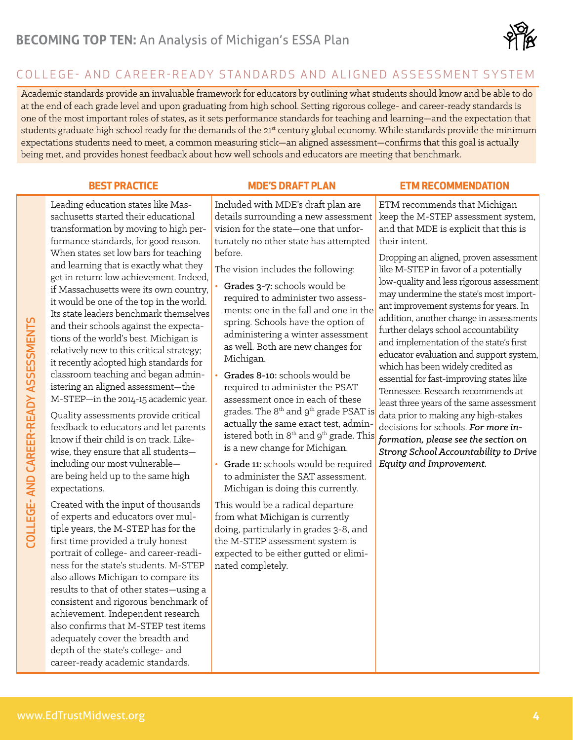

## COLL EGE- AND CAREER-READY STANDARDS AND ALIGNED ASSESSMENT SYSTEM

Academic standards provide an invaluable framework for educators by outlining what students should know and be able to do at the end of each grade level and upon graduating from high school. Setting rigorous college- and career-ready standards is one of the most important roles of states, as it sets performance standards for teaching and learning—and the expectation that students graduate high school ready for the demands of the 21<sup>st</sup> century global economy. While standards provide the minimum expectations students need to meet, a common measuring stick—an aligned assessment—confirms that this goal is actually being met, and provides honest feedback about how well schools and educators are meeting that benchmark.

Leading education states like Massachusetts started their educational transformation by moving to high performance standards, for good reason. When states set low bars for teaching and learning that is exactly what they get in return: low achievement. Indeed, if Massachusetts were its own country, it would be one of the top in the world. Its state leaders benchmark themselves and their schools against the expectations of the world's best. Michigan is relatively new to this critical strategy; it recently adopted high standards for classroom teaching and began administering an aligned assessment—the M-STEP—in the 2014-15 academic year.

Quality assessments provide critical feedback to educators and let parents know if their child is on track. Likewise, they ensure that all students including our most vulnerable are being held up to the same high expectations.

Created with the input of thousands of experts and educators over multiple years, the M-STEP has for the first time provided a truly honest portrait of college- and career-readiness for the state's students. M-STEP also allows Michigan to compare its results to that of other states—using a consistent and rigorous benchmark of achievement. Independent research also confirms that M-STEP test items adequately cover the breadth and depth of the state's college- and career-ready academic standards.

Included with MDE's draft plan are details surrounding a new assessment vision for the state—one that unfortunately no other state has attempted before.

The vision includes the following:

- Grades 3-7: schools would be required to administer two assessments: one in the fall and one in the spring. Schools have the option of administering a winter assessment as well. Both are new changes for Michigan.
- Grades 8-10: schools would be required to administer the PSAT assessment once in each of these grades. The  $8<sup>th</sup>$  and  $9<sup>th</sup>$  grade PSAT is actually the same exact test, administered both in  $8<sup>th</sup>$  and  $9<sup>th</sup>$  grade. This is a new change for Michigan.
- Grade 11: schools would be required to administer the SAT assessment. Michigan is doing this currently.

This would be a radical departure from what Michigan is currently doing, particularly in grades 3-8, and the M-STEP assessment system is expected to be either gutted or eliminated completely.

### **BEST PRACTICE MDE'S DRAFT PLAN ETM RECOMMENDATION**

ETM recommends that Michigan keep the M-STEP assessment system, and that MDE is explicit that this is their intent.

Dropping an aligned, proven assessment like M-STEP in favor of a potentially low-quality and less rigorous assessment may undermine the state's most important improvement systems for years. In addition, another change in assessments further delays school accountability and implementation of the state's first educator evaluation and support system, which has been widely credited as essential for fast-improving states like Tennessee. Research recommends at least three years of the same assessment data prior to making any high-stakes decisions for schools. *For more information, please see the section on Strong School Accountability to Drive Equity and Improvement.* 

COLLEGE- AND CAREER-READY ASSESSMENTS

COLLEGE- AND CAREER-READY ASSESSMENTS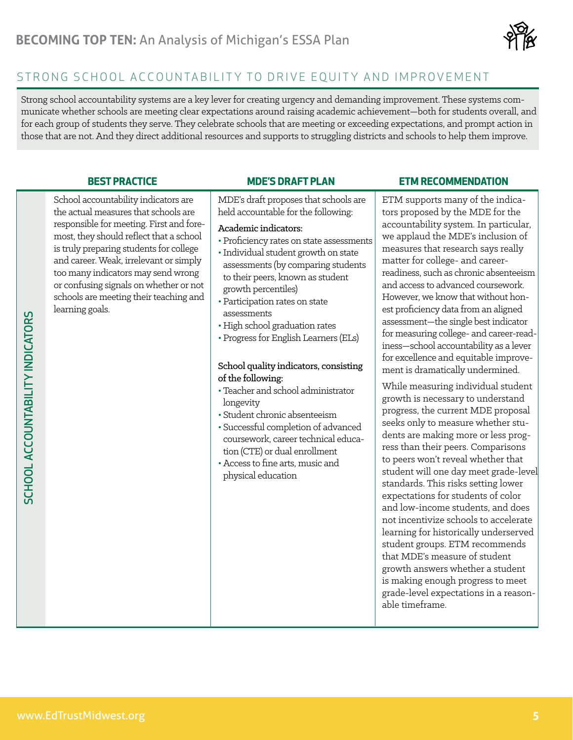

## STRONG SCHOOL ACCOUNTABILITY TO DRIVE EQUITY AND IMPROVEMENT

Strong school accountability systems are a key lever for creating urgency and demanding improvement. These systems communicate whether schools are meeting clear expectations around raising academic achievement—both for students overall, and for each group of students they serve. They celebrate schools that are meeting or exceeding expectations, and prompt action in those that are not. And they direct additional resources and supports to struggling districts and schools to help them improve.

School accountability indicators are the actual measures that schools are responsible for meeting. First and foremost, they should reflect that a school is truly preparing students for college and career. Weak, irrelevant or simply too many indicators may send wrong or confusing signals on whether or not schools are meeting their teaching and learning goals.

MDE's draft proposes that schools are held accountable for the following:

### Academic indicators:

• Proficiency rates on state assessments

• Individual student growth on state assessments (by comparing students to their peers, known as student growth percentiles)

- Participation rates on state assessments
- •High school graduation rates
- Progress for English Learners (ELs)

### School quality indicators, consisting of the following:

- Teacher and school administrator longevity
- Student chronic absenteeism
- Successful completion of advanced coursework, career technical education (CTE) or dual enrollment
- Access to fine arts, music and physical education

### **BEST PRACTICE MDE'S DRAFT PLAN ETM RECOMMENDATION**

ETM supports many of the indicators proposed by the MDE for the accountability system. In particular, we applaud the MDE's inclusion of measures that research says really matter for college- and careerreadiness, such as chronic absenteeism and access to advanced coursework. However, we know that without honest proficiency data from an aligned assessment—the single best indicator for measuring college- and career-readiness—school accountability as a lever for excellence and equitable improvement is dramatically undermined.

While measuring individual student growth is necessary to understand progress, the current MDE proposal seeks only to measure whether students are making more or less progress than their peers. Comparisons to peers won't reveal whether that student will one day meet grade-level standards. This risks setting lower expectations for students of color and low-income students, and does not incentivize schools to accelerate learning for historically underserved student groups. ETM recommends that MDE's measure of student growth answers whether a student is making enough progress to meet grade-level expectations in a reasonable timeframe.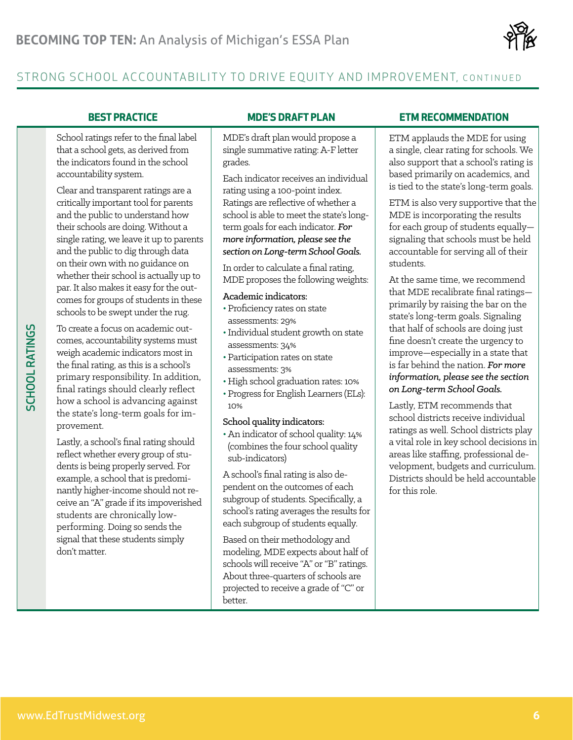

## STRONG SCHOOL ACCOUNTABILITY TO DRIVE EQUITY AND IMPROVEMENT, CONTINUED

School ratings refer to the final label that a school gets, as derived from the indicators found in the school accountability system.

Clear and transparent ratings are a critically important tool for parents and the public to understand how their schools are doing. Without a single rating, we leave it up to parents and the public to dig through data on their own with no guidance on whether their school is actually up to par. It also makes it easy for the outcomes for groups of students in these schools to be swept under the rug.

To create a focus on academic outcomes, accountability systems must weigh academic indicators most in the final rating, as this is a school's primary responsibility. In addition, final ratings should clearly reflect how a school is advancing against the state's long-term goals for improvement.

Lastly, a school's final rating should reflect whether every group of students is being properly served. For example, a school that is predominantly higher-income should not receive an "A" grade if its impoverished students are chronically lowperforming. Doing so sends the signal that these students simply don't matter.

MDE's draft plan would propose a single summative rating: A-F letter grades.

Each indicator receives an individual rating using a 100-point index. Ratings are reflective of whether a school is able to meet the state's longterm goals for each indicator. *For more information, please see the section on Long-term School Goals.*

In order to calculate a final rating, MDE proposes the following weights:

### Academic indicators:

- Proficiency rates on state assessments: 29%
- Individual student growth on state assessments: 34%
- Participation rates on state assessments: 3%
- High school graduation rates: 10%
- Progress for English Learners (ELs): 10%

### School quality indicators:

• An indicator of school quality: 14% (combines the four school quality sub-indicators)

A school's final rating is also dependent on the outcomes of each subgroup of students. Specifically, a school's rating averages the results for each subgroup of students equally.

Based on their methodology and modeling, MDE expects about half of schools will receive "A" or "B" ratings. About three-quarters of schools are projected to receive a grade of "C" or better.

### **BEST PRACTICE MDE'S DRAFT PLAN ETM RECOMMENDATION**

ETM applauds the MDE for using a single, clear rating for schools. We also support that a school's rating is based primarily on academics, and is tied to the state's long-term goals.

ETM is also very supportive that the MDE is incorporating the results for each group of students equally signaling that schools must be held accountable for serving all of their students.

At the same time, we recommend that MDE recalibrate final ratings primarily by raising the bar on the state's long-term goals. Signaling that half of schools are doing just fine doesn't create the urgency to improve—especially in a state that is far behind the nation. *For more information, please see the section on Long-term School Goals.*

Lastly, ETM recommends that school districts receive individual ratings as well. School districts play a vital role in key school decisions in areas like staffing, professional development, budgets and curriculum. Districts should be held accountable for this role.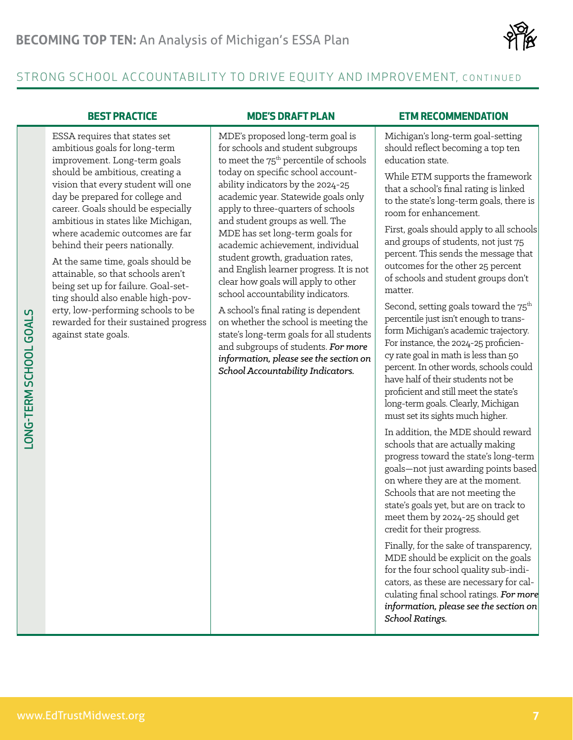

## STRONG SCHOOL ACCOUNTABILITY TO DRIVE EQUITY AND IMPROVEMENT, CONTINUED

ESSA requires that states set ambitious goals for long-term improvement. Long-term goals should be ambitious, creating a vision that every student will one day be prepared for college and career. Goals should be especially ambitious in states like Michigan, where academic outcomes are far behind their peers nationally.

At the same time, goals should be attainable, so that schools aren't being set up for failure. Goal-setting should also enable high-poverty, low-performing schools to be rewarded for their sustained progress against state goals.

MDE's proposed long-term goal is for schools and student subgroups to meet the  $75<sup>th</sup>$  percentile of schools today on specific school accountability indicators by the 2024-25 academic year. Statewide goals only apply to three-quarters of schools and student groups as well. The MDE has set long-term goals for academic achievement, individual student growth, graduation rates, and English learner progress. It is not clear how goals will apply to other school accountability indicators.

A school's final rating is dependent on whether the school is meeting the state's long-term goals for all students and subgroups of students. *For more information, please see the section on School Accountability Indicators.*

### **BEST PRACTICE MDE'S DRAFT PLAN ETM RECOMMENDATION**

Michigan's long-term goal-setting should reflect becoming a top ten education state.

While ETM supports the framework that a school's final rating is linked to the state's long-term goals, there is room for enhancement.

First, goals should apply to all schools and groups of students, not just 75 percent. This sends the message that outcomes for the other 25 percent of schools and student groups don't matter.

Second, setting goals toward the  $75<sup>th</sup>$ percentile just isn't enough to transform Michigan's academic trajectory. For instance, the 2024-25 proficiency rate goal in math is less than 50 percent. In other words, schools could have half of their students not be proficient and still meet the state's long-term goals. Clearly, Michigan must set its sights much higher.

In addition, the MDE should reward schools that are actually making progress toward the state's long-term goals—not just awarding points based on where they are at the moment. Schools that are not meeting the state's goals yet, but are on track to meet them by 2024-25 should get credit for their progress.

Finally, for the sake of transparency, MDE should be explicit on the goals for the four school quality sub-indicators, as these are necessary for calculating final school ratings. *For more information, please see the section on School Ratings.*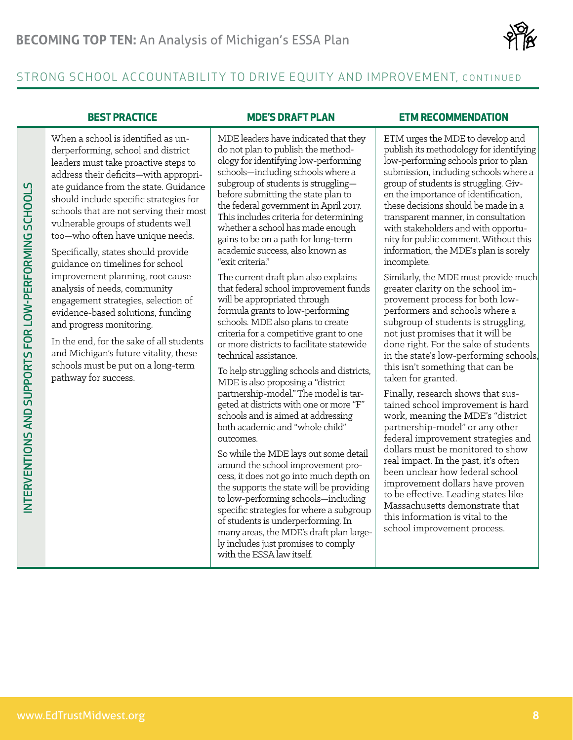

## STRONG SCHOOL ACCOUNTABILITY TO DRIVE EQUITY AND IMPROVEMENT, CONTINUED

When a school is identified as underperforming, school and district leaders must take proactive steps to address their deficits—with appropriate guidance from the state. Guidance should include specific strategies for schools that are not serving their most vulnerable groups of students well too—who often have unique needs.

Specifically, states should provide guidance on timelines for school improvement planning, root cause analysis of needs, community engagement strategies, selection of evidence-based solutions, funding and progress monitoring.

In the end, for the sake of all students and Michigan's future vitality, these schools must be put on a long-term pathway for success.

MDE leaders have indicated that they do not plan to publish the methodology for identifying low-performing schools—including schools where a subgroup of students is struggling before submitting the state plan to the federal government in April 2017. This includes criteria for determining whether a school has made enough gains to be on a path for long-term academic success, also known as "exit criteria."

The current draft plan also explains that federal school improvement funds will be appropriated through formula grants to low-performing schools. MDE also plans to create criteria for a competitive grant to one or more districts to facilitate statewide technical assistance.

To help struggling schools and districts, MDE is also proposing a "district partnership-model." The model is targeted at districts with one or more "F" schools and is aimed at addressing both academic and "whole child" outcomes.

So while the MDE lays out some detail around the school improvement process, it does not go into much depth on the supports the state will be providing to low-performing schools—including specific strategies for where a subgroup of students is underperforming. In many areas, the MDE's draft plan largely includes just promises to comply with the ESSA law itself.

### **BEST PRACTICE MDE'S DRAFT PLAN ETM RECOMMENDATION**

ETM urges the MDE to develop and publish its methodology for identifying low-performing schools prior to plan submission, including schools where a group of students is struggling. Given the importance of identification, these decisions should be made in a transparent manner, in consultation with stakeholders and with opportunity for public comment. Without this information, the MDE's plan is sorely incomplete.

Similarly, the MDE must provide much greater clarity on the school improvement process for both lowperformers and schools where a subgroup of students is struggling, not just promises that it will be done right. For the sake of students in the state's low-performing schools, this isn't something that can be taken for granted.

We are the basis of the continue of the state of the state of the state of the state of the state of the state of the state of the state of the state of the state of the state of the state of the state of the state of th Finally, research shows that sustained school improvement is hard work, meaning the MDE's "district partnership-model" or any other federal improvement strategies and dollars must be monitored to show real impact. In the past, it's often been unclear how federal school improvement dollars have proven to be effective. Leading states like Massachusetts demonstrate that this information is vital to the school improvement process.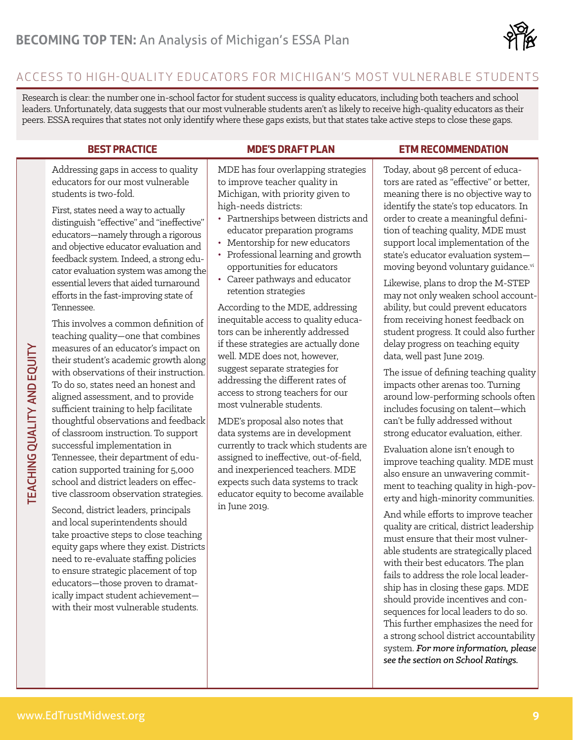

## ACCESS TO HIGH-OUALITY EDUCATORS FOR MICHIGAN'S MOST VULNERABLE STUDENTS

Research is clear: the number one in-school factor for student success is quality educators, including both teachers and school leaders. Unfortunately, data suggests that our most vulnerable students aren't as likely to receive high-quality educators as their peers. ESSA requires that states not only identify where these gaps exists, but that states take active steps to close these gaps.

Addressing gaps in access to quality educators for our most vulnerable students is two-fold.

First, states need a way to actually distinguish "effective" and "ineffective" educators—namely through a rigorous and objective educator evaluation and feedback system. Indeed, a strong educator evaluation system was among the essential levers that aided turnaround efforts in the fast-improving state of Tennessee.

This involves a common definition of teaching quality—one that combines measures of an educator's impact on their student's academic growth along with observations of their instruction. To do so, states need an honest and aligned assessment, and to provide sufficient training to help facilitate thoughtful observations and feedback of classroom instruction. To support successful implementation in Tennessee, their department of education supported training for 5,000 school and district leaders on effective classroom observation strategies.

Second, district leaders, principals and local superintendents should take proactive steps to close teaching equity gaps where they exist. Districts need to re-evaluate staffing policies to ensure strategic placement of top educators—those proven to dramatically impact student achievement with their most vulnerable students.

MDE has four overlapping strategies to improve teacher quality in Michigan, with priority given to high-needs districts:

- Partnerships between districts and educator preparation programs
- Mentorship for new educators
- Professional learning and growth opportunities for educators
- Career pathways and educator retention strategies

According to the MDE, addressing inequitable access to quality educators can be inherently addressed if these strategies are actually done well. MDE does not, however, suggest separate strategies for addressing the different rates of access to strong teachers for our most vulnerable students.

MDE's proposal also notes that data systems are in development currently to track which students are assigned to ineffective, out-of-field, and inexperienced teachers. MDE expects such data systems to track educator equity to become available in June 2019.

### **BEST PRACTICE MDE'S DRAFT PLAN ETM RECOMMENDATION**

Today, about 98 percent of educators are rated as "effective" or better, meaning there is no objective way to identify the state's top educators. In order to create a meaningful definition of teaching quality, MDE must support local implementation of the state's educator evaluation system moving beyond voluntary guidance.<sup>vi</sup>

Likewise, plans to drop the M-STEP may not only weaken school accountability, but could prevent educators from receiving honest feedback on student progress. It could also further delay progress on teaching equity data, well past June 2019.

The issue of defining teaching quality impacts other arenas too. Turning around low-performing schools often includes focusing on talent—which can't be fully addressed without strong educator evaluation, either.

Evaluation alone isn't enough to improve teaching quality. MDE must also ensure an unwavering commitment to teaching quality in high-poverty and high-minority communities.

And while efforts to improve teacher quality are critical, district leadership must ensure that their most vulnerable students are strategically placed with their best educators. The plan fails to address the role local leadership has in closing these gaps. MDE should provide incentives and consequences for local leaders to do so. This further emphasizes the need for a strong school district accountability system. *For more information, please see the section on School Ratings.*